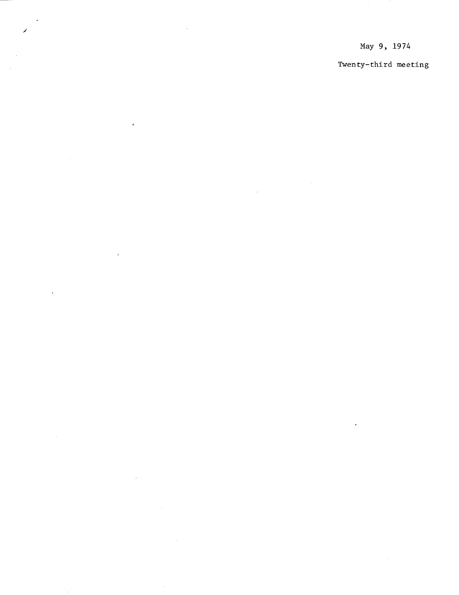May 9, 1974

 $\hat{\mathcal{L}}$ 

 $\frac{1}{2}$ 

 $\bar{\epsilon}$ 

 $\overline{a}$ 

 $\mathbf{r}$ 

 $\ddot{\phantom{a}}$ 

 $\sim$ 

 $\overline{\phantom{a}}$ 

Twenty-third meeting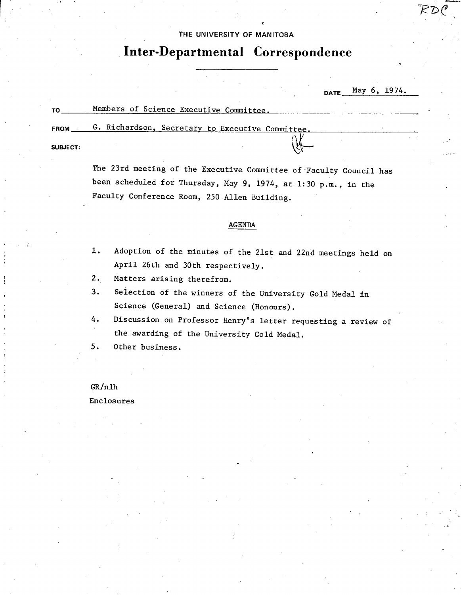# THE UNIVERSITY OF MANITOBA

i<br>E

# **Inter-Departmental Correspondence**

DATE May 6, 1974.

TO Members of Science Executive Committee. **FROM G.** Richardson, Secretary to Executive Committee,

**SUBJECT:** 

The 23rd meeting of the Executive Committee of Faculty Council has been scheduled for Thursday, May 9, 1974, at 1:30 p.m., in the Faculty Conference Room, 250 Allen Building.

### AGENDA

- Adoption of the minutes of the 21st and 22nd meetings held on  $1.$ April 26th and 30th respectively.
- Matters arising therefrom.  $2.$
- Selection of the winners of the University Gold Medal in  $3.$ Science (General) and Science (Honours).
- Discussion on Professor Henry's letter requesting a review of 4. the awarding of the University Gold Medal.
- $5.$ Other business.

### GR/nlh

Enclosures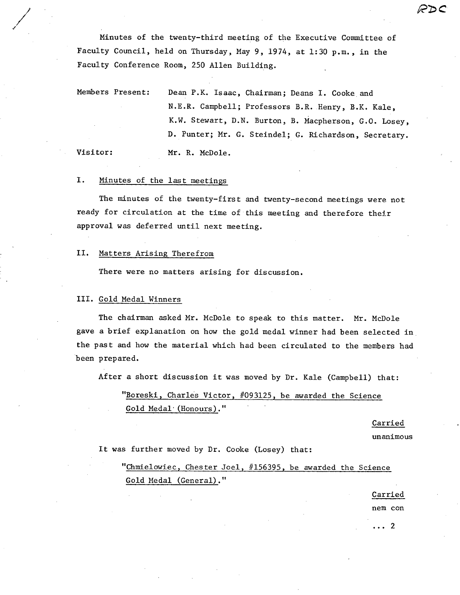Minutes of the twenty-third meeting of the Executive Committee of Faculty Council, held on Thursday, May 9, 1974, at 1:30 p.m., in the Faculty Conference Room, 250 Allen Building.

Members Present: Dean P.K. Isaac, Chairman; Deans I. Cooke and N.E.R. Campbell; Professors B.R. Henry, B.K. Kale, K.W. Stewart, D.N. Burton, B. Macpherson, G.O. Losey, D. Punter; Mr. G. Steindel; G. Richardson, Secretary. Visitor: Mr. R. McDole.

/

#### I. Minutes of the last meetings

The minutes of the twenty-first and twenty-second meetings were not ready for circulation at the time of this meeting and therefore their approval was deferred until next meeting.

#### II. Matters Arising Therefrom

There were no matters arising for discussion.

# III. Gold Medal Winners

The chairman asked Mr. McDole to speak to this matter. Mr. McDole gave a brief explanation on how the gold medal winner had been selected in the past and how the material which had been circulated to the members had been prepared.

After a short discussion it was moved by Dr. Kale (Campbell) that:

"Boreski, Charles Victor, #093125, be awarded the Science Gold Medal (Honours)."

Carried

unanimous

R2C

It was further moved by Dr. Cooke (Losey) that:

"Chmielowiec, Chester Joel, #156395, be awarded the Science Gold Medal (General)."

Carried

nem con

...2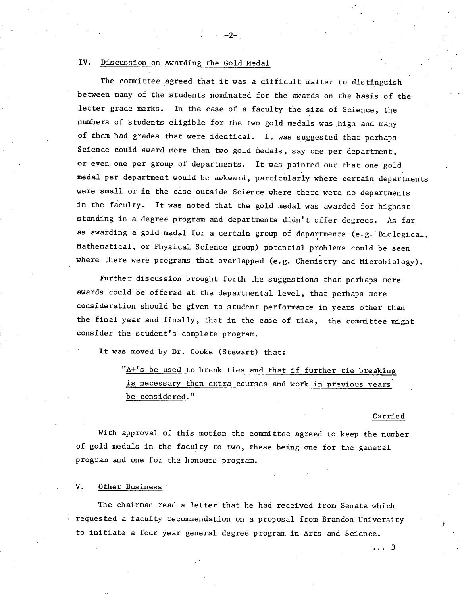## IV. Discussion on Awarding the Gold Medal

The committee agreed that it was a difficult matter to distinguish between many of the students nominated for the awards on the basis of the letter grade marks. In the case of a faculty the size of Science, the numbers of students eligible for the two gold medals was high and many of them had grades that were identical. It was suggested that perhaps Science could award more than two gold medals, say one per department, or even one per group of departments. It was pointed out that one gold medal per department would be awkward, particularly where certain departments were small or in the case outside Science where there were no departments in the faculty. It was noted that the gold medal was awarded for highest standing in a degree program and departments didn't offer degrees. As far as awarding a gold medal for a certain group of departments (e.g. Biological, Mathematical, or Physical Science group) potential problems could be seen where there were programs that overlapped (e.g. Chemistry and Microbiology).

 $-2-$ 

Further discussion brought forth the suggestions that perhaps more awards could be offered at the departmental level, that perhaps more consideration should be given to student performance in years other than the final year and finally, that in the case of ties, the committee might consider the student's complete program.

It was moved by Dr. Cooke (Stewart) that:

"A+'s be used to break ties and that if further tie breaking is necessary then extra courses and work in previous years be considered."

### Carried

With approval of this motion the committee agreed to keep the number of gold medals in the faculty to two, these being one for the general program and one for the honours program.

# V. Other Business

The chairman read a letter that he had received from Senate which requested a faculty recommendation on a proposal from Brandon University to initiate a four year general degree program in Arts and Science.

... 3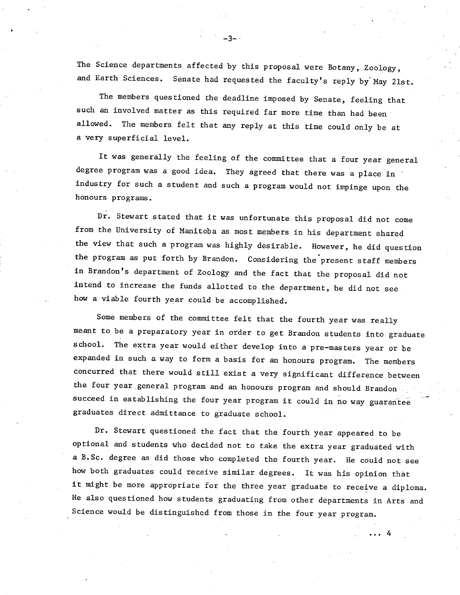The Science departments affected by this proposal were Botany, Zoology, and Earth Sciences. Senate had requested the faculty's reply by May 21st.

-3--.

The members questioned the deadline imposed by Senate, feeling that such an involved matter as this required far more time than had been allowed. The members felt that any reply at this time could only be at a very superficial level.

It was generally the feeling of the committee that a four year general degree program was a good idea. They agreed that there was a place in industry for such a student and such a program would not impinge upon the honours programs.

Dr. Stewart stated that it was unfortunate, this proposal did not come from the University of Manitoba as most members in his department shared the view that such a program was highly desirable. However, he did question the program as put forth by Brandon. Considering the present staff members in Brandon's department of Zoology and the fact that the proposal did not intend to increase the funds allotted to the department, he did not see how a viable fourth year could be accomplished.

Some members of the committee felt that the fourth year was really meant to be a preparatory year in order to get Brandon students into graduate school. The extra year would either develop into a pre-masters year or be expanded in such a way to form a basis for an honours program. The members concurred that there would still exist a very significant difference between the four year general program and an honours program and should Brandon succeed in establishing the four year program it could in no way guarantee graduates direct admittance to graduate school.

Dr. Stewart questioned the fact that the fourth year appeared to be optional and students who decided not to take the extra year graduated with a B.Sc. degree as did those who completed the fourth year. He could not see how both graduates could receive similar degrees. It was his opinion that it might be more appropriate for the three year graduate to receive a diploma. He also questioned how students graduating from other departments in Arts and Science would be distinguished from those in the four year program.